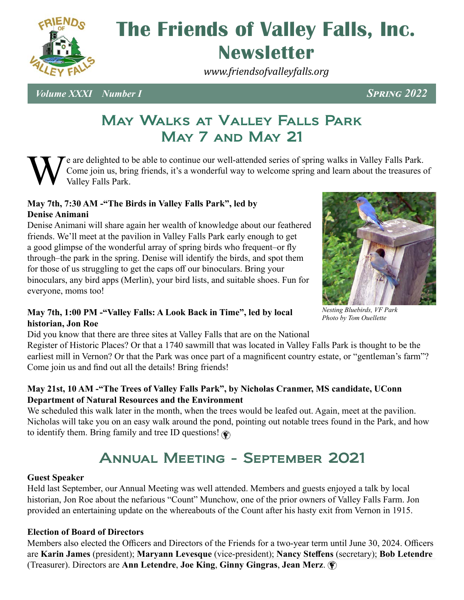

# **Newsletter The Friends of Valley Falls, Inc.**

*www.friendsofvalleyfalls.org*

*Volume XXXI Number I Spring 2022*

#### May Walks at Valley Falls Park May 7 and May 21

e are delighted to be able to continue our well-attended series of spring walks in Valley Falls Park. Come join us, bring friends, it's a wonderful way to welcome spring and learn about the treasures of Valley Falls Park.

#### **May 7th, 7:30 AM -"The Birds in Valley Falls Park", led by Denise Animani**

Denise Animani will share again her wealth of knowledge about our feathered friends. We'll meet at the pavilion in Valley Falls Park early enough to get a good glimpse of the wonderful array of spring birds who frequent–or fly through–the park in the spring. Denise will identify the birds, and spot them for those of us struggling to get the caps off our binoculars. Bring your binoculars, any bird apps (Merlin), your bird lists, and suitable shoes. Fun for everyone, moms too!



*Nesting Bluebirds, VF Park Photo by Tom Ouellette*

#### **May 7th, 1:00 PM -"Valley Falls: A Look Back in Time", led by local historian, Jon Roe**

Did you know that there are three sites at Valley Falls that are on the National

Register of Historic Places? Or that a 1740 sawmill that was located in Valley Falls Park is thought to be the earliest mill in Vernon? Or that the Park was once part of a magnificent country estate, or "gentleman's farm"? Come join us and find out all the details! Bring friends!

#### **May 21st, 10 AM -"The Trees of Valley Falls Park", by Nicholas Cranmer, MS candidate, UConn Department of Natural Resources and the Environment**

We scheduled this walk later in the month, when the trees would be leafed out. Again, meet at the pavilion. Nicholas will take you on an easy walk around the pond, pointing out notable trees found in the Park, and how to identify them. Bring family and tree ID questions!  $\circledast$ 

## Annual Meeting - September 2021

#### **Guest Speaker**

Held last September, our Annual Meeting was well attended. Members and guests enjoyed a talk by local historian, Jon Roe about the nefarious "Count" Munchow, one of the prior owners of Valley Falls Farm. Jon provided an entertaining update on the whereabouts of the Count after his hasty exit from Vernon in 1915.

#### **Election of Board of Directors**

Members also elected the Officers and Directors of the Friends for a two-year term until June 30, 2024. Officers are **Karin James** (president); **Maryann Levesque** (vice-president); **Nancy Steffens** (secretary); **Bob Letendre**  (Treasurer). Directors are **Ann Letendre**, **Joe King**, **Ginny Gingras**, **Jean Merz**.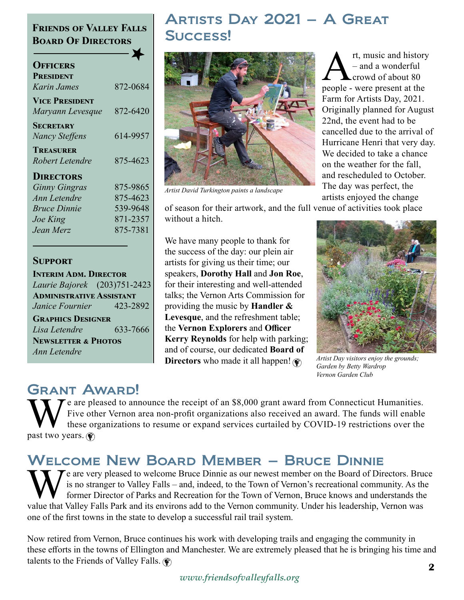#### **Friends of Valley Falls Board Of Directors**

| <b>OFFICERS</b>       |          |
|-----------------------|----------|
| <b>PRESIDENT</b>      |          |
| Karin James           | 872-0684 |
| <b>VICE PRESIDENT</b> |          |
| Maryann Levesque      | 872-6420 |
| SECRETARY             |          |
| <b>Nancy Steffens</b> | 614-9957 |
| <b>TREASURER</b>      |          |
| Robert Letendre       | 875-4623 |
| <b>DIRECTORS</b>      |          |
| <b>Ginny Gingras</b>  | 875-9865 |
| Ann Letendre          | 875-4623 |
| <i>Bruce Dinnie</i>   | 539-9648 |
| Joe King              | 871-2357 |
| Jean Merz             | 875-7381 |
|                       |          |
|                       |          |

#### **Support**

**INTERIM ADM. DIRECTOR** *Laurie Bajorek* (203)751-2423 **Administrative Assistant** *Janice Fournier*423-2892 **Graphics Designer**

*Lisa Letendre* 633-7666 **Newsletter & Photos** *Ann Letendre*

## Artists Day 2021 – A Great Success!



*Artist David Turkington paints a landscape*

 $A_{\text{crowd}}^{\text{rt, music and history}}$ <br>  $_{\text{crowd of about 80}}^{\text{rt, music and history}}$ <br>  $_{\text{people - were present at the$ – and a wonderful crowd of about 80 Farm for Artists Day, 2021. Originally planned for August 22nd, the event had to be cancelled due to the arrival of Hurricane Henri that very day. We decided to take a chance on the weather for the fall, and rescheduled to October. The day was perfect, the artists enjoyed the change

of season for their artwork, and the full venue of activities took place without a hitch.

We have many people to thank for the success of the day: our plein air artists for giving us their time; our speakers, **Dorothy Hall** and **Jon Roe**, for their interesting and well-attended talks; the Vernon Arts Commission for providing the music by **Handler & Levesque**, and the refreshment table; the **Vernon Explorers** and **Officer Kerry Reynolds** for help with parking; and of course, our dedicated **Board of Directors** who made it all happen!



*Artist Day visitors enjoy the grounds; Garden by Betty Wardrop Vernon Garden Club*

## Grant Award!

We are pleased to announce the receipt of an \$8,000 grant award from Connecticut Humanities.<br>Five other Vernon area non-profit organizations also received an award. The funds will enable<br>these organizations to resume or ex Five other Vernon area non-profit organizations also received an award. The funds will enable these organizations to resume or expand services curtailed by COVID-19 restrictions over the past two years.  $\circledast$ 

## Welcome New Board Member – Bruce Dinnie

 $\mathbf T$  e are very pleased to welcome Bruce Dinnie as our newest member on the Board of Directors. Bruce is no stranger to Valley Falls – and, indeed, to the Town of Vernon's recreational community. As the former Director of Parks and Recreation for the Town of Vernon, Bruce knows and understands the value that Valley Falls Park and its environs add to the Vernon community. Under his leadership, Vernon was one of the first towns in the state to develop a successful rail trail system.

Now retired from Vernon, Bruce continues his work with developing trails and engaging the community in these efforts in the towns of Ellington and Manchester. We are extremely pleased that he is bringing his time and talents to the Friends of Valley Falls.  $\circledast$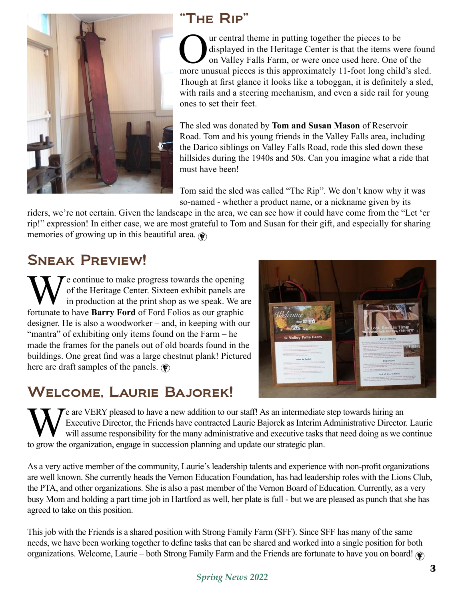

## "The Rip"

Our central theme in putting together the pieces to be<br>displayed in the Heritage Center is that the items we<br>on Valley Falls Farm, or were once used here. One c displayed in the Heritage Center is that the items were found on Valley Falls Farm, or were once used here. One of the more unusual pieces is this approximately 11-foot long child's sled. Though at first glance it looks like a toboggan, it is definitely a sled, with rails and a steering mechanism, and even a side rail for young ones to set their feet.

The sled was donated by **Tom and Susan Mason** of Reservoir Road. Tom and his young friends in the Valley Falls area, including the Darico siblings on Valley Falls Road, rode this sled down these hillsides during the 1940s and 50s. Can you imagine what a ride that must have been!

Tom said the sled was called "The Rip". We don't know why it was so-named - whether a product name, or a nickname given by its

riders, we're not certain. Given the landscape in the area, we can see how it could have come from the "Let 'er rip!" expression! In either case, we are most grateful to Tom and Susan for their gift, and especially for sharing memories of growing up in this beautiful area.  $\circledast$ 

## Sneak Preview!

We continue to make progress towards the opening<br>of the Heritage Center. Sixteen exhibit panels are<br>in production at the print shop as we speak. We are<br>fortunate to have **Barry Ford** of Ford Folios as our graphic of the Heritage Center. Sixteen exhibit panels are in production at the print shop as we speak. We are fortunate to have **Barry Ford** of Ford Folios as our graphic designer. He is also a woodworker – and, in keeping with our "mantra" of exhibiting only items found on the Farm – he made the frames for the panels out of old boards found in the buildings. One great find was a large chestnut plank! Pictured here are draft samples of the panels.  $\circledast$ 

## Welcome, Laurie Bajorek!

 $\tau$  are VERY pleased to have a new addition to our staff! As an intermediate step towards hiring an Executive Director, the Friends have contracted Laurie Bajorek as Interim Administrative Director. Laurie will assume responsibility for the many administrative and executive tasks that need doing as we continue to grow the organization, engage in succession planning and update our strategic plan.

As a very active member of the community, Laurie's leadership talents and experience with non-profit organizations are well known. She currently heads the Vernon Education Foundation, has had leadership roles with the Lions Club, the PTA, and other organizations. She is also a past member of the Vernon Board of Education. Currently, as a very busy Mom and holding a part time job in Hartford as well, her plate is full - but we are pleased as punch that she has agreed to take on this position.

This job with the Friends is a shared position with Strong Family Farm (SFF). Since SFF has many of the same needs, we have been working together to define tasks that can be shared and worked into a single position for both organizations. Welcome, Laurie – both Strong Family Farm and the Friends are fortunate to have you on board!